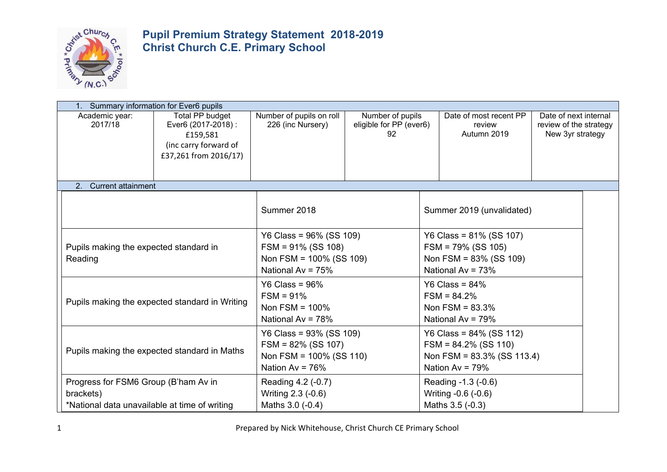

|                                                                                                    | Summary information for Ever6 pupils                                                                 |                                                                                                          |                                                                                |  |                                                                                                              |                                                                     |  |
|----------------------------------------------------------------------------------------------------|------------------------------------------------------------------------------------------------------|----------------------------------------------------------------------------------------------------------|--------------------------------------------------------------------------------|--|--------------------------------------------------------------------------------------------------------------|---------------------------------------------------------------------|--|
| Academic year:<br>2017/18                                                                          | Total PP budget<br>Ever6 (2017-2018) :<br>£159,581<br>(inc carry forward of<br>£37,261 from 2016/17) | Number of pupils on roll<br>226 (inc Nursery)                                                            | Number of pupils<br>eligible for PP (ever6)<br>92                              |  | Date of most recent PP<br>review<br>Autumn 2019                                                              | Date of next internal<br>review of the strategy<br>New 3yr strategy |  |
| 2. Current attainment                                                                              |                                                                                                      |                                                                                                          |                                                                                |  |                                                                                                              |                                                                     |  |
|                                                                                                    |                                                                                                      | Summer 2018                                                                                              |                                                                                |  | Summer 2019 (unvalidated)                                                                                    |                                                                     |  |
| Pupils making the expected standard in<br>Reading                                                  |                                                                                                      | Y6 Class = $96\%$ (SS 109)<br>$FSM = 91\% (SS 108)$<br>Non FSM = $100\%$ (SS 109)<br>National Av = $75%$ |                                                                                |  | Y6 Class = $81\%$ (SS 107)<br>$FSM = 79\% (SS 105)$<br>Non FSM = $83\%$ (SS 109)<br>National Av = $73%$      |                                                                     |  |
|                                                                                                    | Pupils making the expected standard in Writing                                                       | Y6 Class = $96\%$<br>$FSM = 91%$<br>Non FSM = $100\%$<br>National Av = $78%$                             | Y6 Class = $84\%$<br>$FSM = 84.2%$<br>Non $FSM = 83.3%$<br>National Av = $79%$ |  |                                                                                                              |                                                                     |  |
|                                                                                                    | Pupils making the expected standard in Maths                                                         | Y6 Class = 93% (SS 109)<br>$FSM = 82\%$ (SS 107)<br>Non FSM = $100\%$ (SS 110)<br>Nation Av = $76%$      |                                                                                |  | Y6 Class = $84\%$ (SS 112)<br>$FSM = 84.2\%$ (SS 110)<br>Non FSM = $83.3\%$ (SS 113.4)<br>Nation Av = $79\%$ |                                                                     |  |
| Progress for FSM6 Group (B'ham Av in<br>brackets)<br>*National data unavailable at time of writing |                                                                                                      | Reading 4.2 (-0.7)<br>Writing 2.3 (-0.6)<br>Maths 3.0 (-0.4)                                             |                                                                                |  | Reading -1.3 (-0.6)<br>Writing -0.6 (-0.6)<br>Maths 3.5 (-0.3)                                               |                                                                     |  |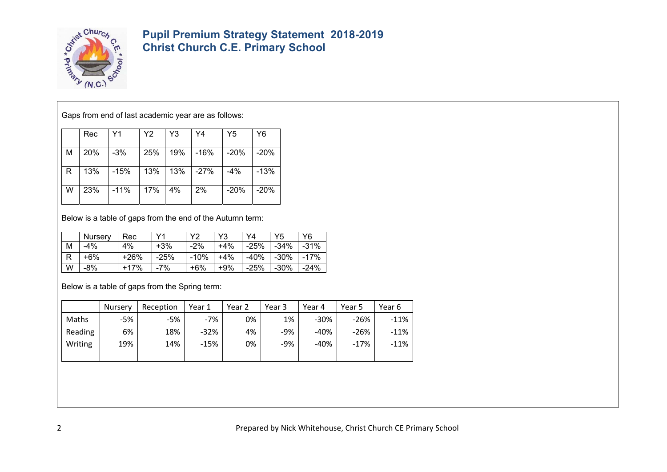

Gaps from end of last academic year are as follows:

|    | Rec | Y1     | Y2  | Y3  | Y4       | Y5     | Y6     |
|----|-----|--------|-----|-----|----------|--------|--------|
| м  | 20% | $-3\%$ | 25% | 19% | -16%     | -20%   | -20%   |
| R. | 13% | -15%   | 13% |     | 13% -27% | -4%    | $-13%$ |
| W  | 23% | -11%   | 17% | 4%  | 2%       | $-20%$ | $-20%$ |

Below is a table of gaps from the end of the Autumn term:

|   | <b>Nurserv</b> | Rec    | $\vee$ | vゥ     | Y3    | Y4     | Y5     | Υ6     |
|---|----------------|--------|--------|--------|-------|--------|--------|--------|
| м | -4%            | 4%     | +3%    | $-2%$  | $+4%$ | -25%   | $-34%$ | $-31%$ |
| R | +6%            | $+26%$ | -25%   | $-10%$ | +4%   | -40%   | -30%   | -17%   |
| W | -8%            | +17%   | 7%     | +6%    | $+9%$ | $-25%$ | $-30%$ | $-24%$ |

Below is a table of gaps from the Spring term:

|         | <b>Nursery</b> | Reception | Year 1 | Year 2 | Year 3 | Year 4 | Year 5 | Year 6 |
|---------|----------------|-----------|--------|--------|--------|--------|--------|--------|
| Maths   | -5%            | -5%       | $-7%$  | 0%     | 1%     | $-30%$ | $-26%$ | $-11%$ |
| Reading | 6%             | 18%       | $-32%$ | 4%     | $-9%$  | -40%   | $-26%$ | $-11%$ |
| Writing | 19%            | 14%       | $-15%$ | 0%     | $-9%$  | $-40%$ | $-17%$ | $-11%$ |
|         |                |           |        |        |        |        |        |        |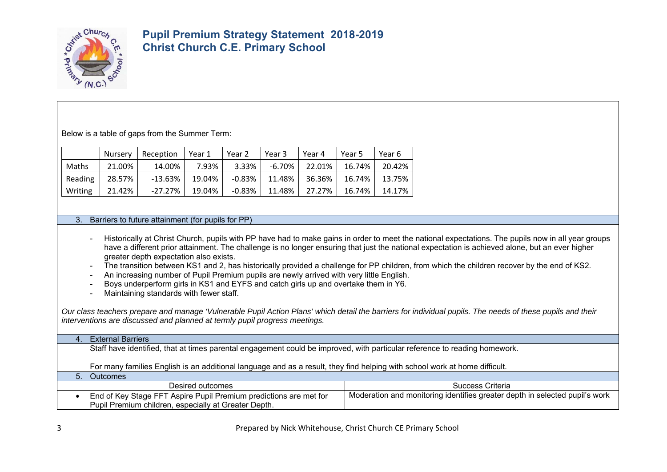

Below is a table of gaps from the Summer Term:

|         | Nursery | Reception  | Year 1 | Year 2    | Year 3 | Year 4 | Year 5 | Year 6 |
|---------|---------|------------|--------|-----------|--------|--------|--------|--------|
| Maths   | 21.00%  | 14.00%     | 7.93%  | 3.33%     | -6.70% | 22.01% | 16.74% | 20.42% |
| Reading | 28.57%  | $-13.63\%$ | 19.04% | $-0.83\%$ | 11.48% | 36.36% | 16.74% | 13.75% |
| Writing | 21.42%  | $-27.27\%$ | 19.04% | $-0.83\%$ | 11.48% | 27.27% | 16.74% | 14.17% |

3. Barriers to future attainment (for pupils for PP)

- Historically at Christ Church, pupils with PP have had to make gains in order to meet the national expectations. The pupils now in all year groups have a different prior attainment. The challenge is no longer ensuring that just the national expectation is achieved alone, but an ever higher greater depth expectation also exists.
- The transition between KS1 and 2, has historically provided a challenge for PP children, from which the children recover by the end of KS2.
- An increasing number of Pupil Premium pupils are newly arrived with very little English.
- Boys underperform girls in KS1 and EYFS and catch girls up and overtake them in Y6.
- Maintaining standards with fewer staff.

*Our class teachers prepare and manage 'Vulnerable Pupil Action Plans' which detail the barriers for individual pupils. The needs of these pupils and their interventions are discussed and planned at termly pupil progress meetings.* 

#### 4. External Barriers

Staff have identified, that at times parental engagement could be improved, with particular reference to reading homework.

For many families English is an additional language and as a result, they find helping with school work at home difficult.

| Outcomes:                                                         |                                                                             |
|-------------------------------------------------------------------|-----------------------------------------------------------------------------|
| Desired outcomes                                                  | Success Criteria                                                            |
| End of Key Stage FFT Aspire Pupil Premium predictions are met for | Moderation and monitoring identifies greater depth in selected pupil's work |
| Pupil Premium children, especially at Greater Depth.              |                                                                             |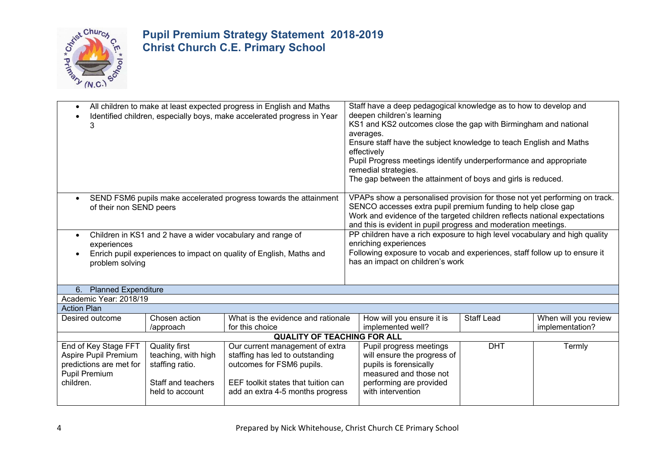

| All children to make at least expected progress in English and Maths<br>$\bullet$<br>Identified children, especially boys, make accelerated progress in Year<br>3                                                                                                                                                                                                                                     |                            |                                                                                                                                                                                                                      | Staff have a deep pedagogical knowledge as to how to develop and<br>deepen children's learning<br>KS1 and KS2 outcomes close the gap with Birmingham and national<br>averages.<br>Ensure staff have the subject knowledge to teach English and Maths<br>effectively<br>Pupil Progress meetings identify underperformance and appropriate<br>remedial strategies.<br>The gap between the attainment of boys and girls is reduced. |                   |                                         |  |
|-------------------------------------------------------------------------------------------------------------------------------------------------------------------------------------------------------------------------------------------------------------------------------------------------------------------------------------------------------------------------------------------------------|----------------------------|----------------------------------------------------------------------------------------------------------------------------------------------------------------------------------------------------------------------|----------------------------------------------------------------------------------------------------------------------------------------------------------------------------------------------------------------------------------------------------------------------------------------------------------------------------------------------------------------------------------------------------------------------------------|-------------------|-----------------------------------------|--|
| SEND FSM6 pupils make accelerated progress towards the attainment<br>$\bullet$<br>of their non SEND peers                                                                                                                                                                                                                                                                                             |                            |                                                                                                                                                                                                                      | VPAPs show a personalised provision for those not yet performing on track.<br>SENCO accesses extra pupil premium funding to help close gap<br>Work and evidence of the targeted children reflects national expectations<br>and this is evident in pupil progress and moderation meetings.                                                                                                                                        |                   |                                         |  |
| Children in KS1 and 2 have a wider vocabulary and range of<br>$\bullet$<br>experiences<br>Enrich pupil experiences to impact on quality of English, Maths and<br>problem solving                                                                                                                                                                                                                      |                            | PP children have a rich exposure to high level vocabulary and high quality<br>enriching experiences<br>Following exposure to vocab and experiences, staff follow up to ensure it<br>has an impact on children's work |                                                                                                                                                                                                                                                                                                                                                                                                                                  |                   |                                         |  |
| <b>Planned Expenditure</b><br>6.                                                                                                                                                                                                                                                                                                                                                                      |                            |                                                                                                                                                                                                                      |                                                                                                                                                                                                                                                                                                                                                                                                                                  |                   |                                         |  |
| Academic Year: 2018/19                                                                                                                                                                                                                                                                                                                                                                                |                            |                                                                                                                                                                                                                      |                                                                                                                                                                                                                                                                                                                                                                                                                                  |                   |                                         |  |
| <b>Action Plan</b>                                                                                                                                                                                                                                                                                                                                                                                    |                            |                                                                                                                                                                                                                      |                                                                                                                                                                                                                                                                                                                                                                                                                                  |                   |                                         |  |
| Desired outcome                                                                                                                                                                                                                                                                                                                                                                                       | Chosen action<br>/approach | What is the evidence and rationale<br>for this choice                                                                                                                                                                | How will you ensure it is<br>implemented well?                                                                                                                                                                                                                                                                                                                                                                                   | <b>Staff Lead</b> | When will you review<br>implementation? |  |
|                                                                                                                                                                                                                                                                                                                                                                                                       |                            | <b>QUALITY OF TEACHING FOR ALL</b>                                                                                                                                                                                   |                                                                                                                                                                                                                                                                                                                                                                                                                                  |                   |                                         |  |
| <b>Quality first</b><br>End of Key Stage FFT<br>Our current management of extra<br>Aspire Pupil Premium<br>teaching, with high<br>staffing has led to outstanding<br>predictions are met for<br>staffing ratio.<br>outcomes for FSM6 pupils.<br><b>Pupil Premium</b><br>children.<br>Staff and teachers<br>EEF toolkit states that tuition can<br>held to account<br>add an extra 4-5 months progress |                            | Pupil progress meetings<br>will ensure the progress of<br>pupils is forensically<br>measured and those not<br>performing are provided<br>with intervention                                                           | <b>DHT</b>                                                                                                                                                                                                                                                                                                                                                                                                                       | Termly            |                                         |  |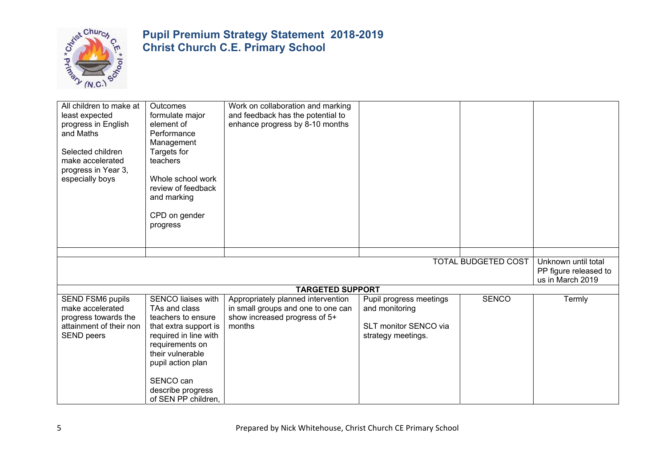

| All children to make at<br>least expected<br>progress in English<br>and Maths<br>Selected children<br>make accelerated<br>progress in Year 3,<br>especially boys | <b>Outcomes</b><br>formulate major<br>element of<br>Performance<br>Management<br>Targets for<br>teachers<br>Whole school work<br>review of feedback<br>and marking<br>CPD on gender<br>progress                                         | Work on collaboration and marking<br>and feedback has the potential to<br>enhance progress by 8-10 months           |                                                                                          |                            |                                                                  |
|------------------------------------------------------------------------------------------------------------------------------------------------------------------|-----------------------------------------------------------------------------------------------------------------------------------------------------------------------------------------------------------------------------------------|---------------------------------------------------------------------------------------------------------------------|------------------------------------------------------------------------------------------|----------------------------|------------------------------------------------------------------|
|                                                                                                                                                                  |                                                                                                                                                                                                                                         |                                                                                                                     |                                                                                          |                            |                                                                  |
|                                                                                                                                                                  |                                                                                                                                                                                                                                         |                                                                                                                     |                                                                                          | <b>TOTAL BUDGETED COST</b> | Unknown until total<br>PP figure released to<br>us in March 2019 |
|                                                                                                                                                                  |                                                                                                                                                                                                                                         | <b>TARGETED SUPPORT</b>                                                                                             |                                                                                          |                            |                                                                  |
| <b>SEND FSM6 pupils</b><br>make accelerated<br>progress towards the<br>attainment of their non<br><b>SEND</b> peers                                              | <b>SENCO liaises with</b><br>TAs and class<br>teachers to ensure<br>that extra support is<br>required in line with<br>requirements on<br>their vulnerable<br>pupil action plan<br>SENCO can<br>describe progress<br>of SEN PP children, | Appropriately planned intervention<br>in small groups and one to one can<br>show increased progress of 5+<br>months | Pupil progress meetings<br>and monitoring<br>SLT monitor SENCO via<br>strategy meetings. | <b>SENCO</b>               | Termly                                                           |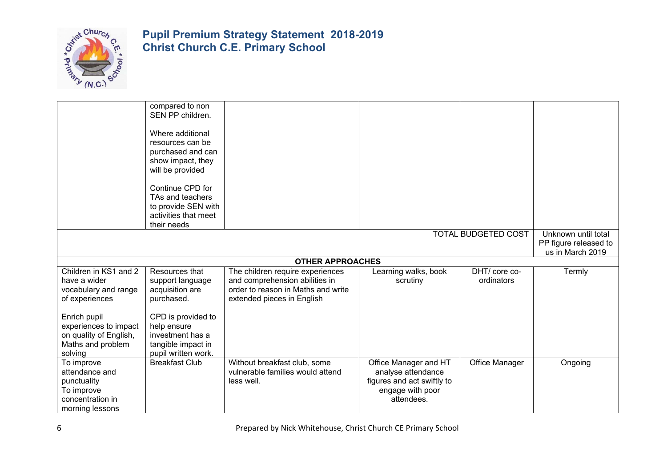

|                        | compared to non       |                                    |                            |                            |                       |
|------------------------|-----------------------|------------------------------------|----------------------------|----------------------------|-----------------------|
|                        | SEN PP children.      |                                    |                            |                            |                       |
|                        |                       |                                    |                            |                            |                       |
|                        | Where additional      |                                    |                            |                            |                       |
|                        | resources can be      |                                    |                            |                            |                       |
|                        | purchased and can     |                                    |                            |                            |                       |
|                        | show impact, they     |                                    |                            |                            |                       |
|                        | will be provided      |                                    |                            |                            |                       |
|                        | Continue CPD for      |                                    |                            |                            |                       |
|                        | TAs and teachers      |                                    |                            |                            |                       |
|                        | to provide SEN with   |                                    |                            |                            |                       |
|                        | activities that meet  |                                    |                            |                            |                       |
|                        | their needs           |                                    |                            |                            |                       |
|                        |                       |                                    |                            | <b>TOTAL BUDGETED COST</b> | Unknown until total   |
|                        |                       |                                    |                            |                            | PP figure released to |
|                        |                       |                                    |                            |                            | us in March 2019      |
|                        |                       | <b>OTHER APPROACHES</b>            |                            |                            |                       |
| Children in KS1 and 2  | Resources that        | The children require experiences   | Learning walks, book       | DHT/core co-               | Termly                |
| have a wider           | support language      | and comprehension abilities in     | scrutiny                   | ordinators                 |                       |
| vocabulary and range   | acquisition are       | order to reason in Maths and write |                            |                            |                       |
| of experiences         | purchased.            | extended pieces in English         |                            |                            |                       |
|                        |                       |                                    |                            |                            |                       |
| Enrich pupil           | CPD is provided to    |                                    |                            |                            |                       |
| experiences to impact  | help ensure           |                                    |                            |                            |                       |
| on quality of English, | investment has a      |                                    |                            |                            |                       |
| Maths and problem      | tangible impact in    |                                    |                            |                            |                       |
| solving                | pupil written work.   |                                    |                            |                            |                       |
| To improve             | <b>Breakfast Club</b> | Without breakfast club, some       | Office Manager and HT      | Office Manager             | Ongoing               |
| attendance and         |                       | vulnerable families would attend   | analyse attendance         |                            |                       |
| punctuality            |                       | less well.                         | figures and act swiftly to |                            |                       |
| To improve             |                       |                                    | engage with poor           |                            |                       |
| concentration in       |                       |                                    | attendees.                 |                            |                       |
| morning lessons        |                       |                                    |                            |                            |                       |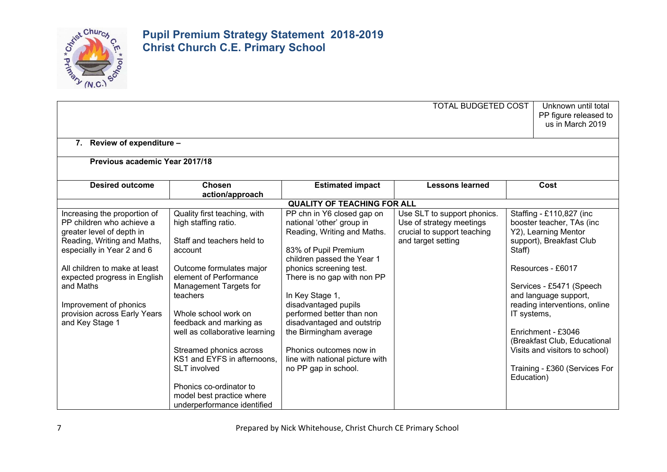

|                                                                                                                                                                                                                                   |                                                                                                                                                                                                                                                                                                 |                                                                                                                                                                                                                    | <b>TOTAL BUDGETED COST</b>                                                                                   | Unknown until total<br>PP figure released to<br>us in March 2019                                                                                                                                                                         |
|-----------------------------------------------------------------------------------------------------------------------------------------------------------------------------------------------------------------------------------|-------------------------------------------------------------------------------------------------------------------------------------------------------------------------------------------------------------------------------------------------------------------------------------------------|--------------------------------------------------------------------------------------------------------------------------------------------------------------------------------------------------------------------|--------------------------------------------------------------------------------------------------------------|------------------------------------------------------------------------------------------------------------------------------------------------------------------------------------------------------------------------------------------|
| 7. Review of expenditure -                                                                                                                                                                                                        |                                                                                                                                                                                                                                                                                                 |                                                                                                                                                                                                                    |                                                                                                              |                                                                                                                                                                                                                                          |
| Previous academic Year 2017/18                                                                                                                                                                                                    |                                                                                                                                                                                                                                                                                                 |                                                                                                                                                                                                                    |                                                                                                              |                                                                                                                                                                                                                                          |
| <b>Desired outcome</b>                                                                                                                                                                                                            | <b>Chosen</b><br>action/approach                                                                                                                                                                                                                                                                | <b>Estimated impact</b>                                                                                                                                                                                            | <b>Lessons learned</b>                                                                                       | Cost                                                                                                                                                                                                                                     |
|                                                                                                                                                                                                                                   |                                                                                                                                                                                                                                                                                                 | <b>QUALITY OF TEACHING FOR ALL</b>                                                                                                                                                                                 |                                                                                                              |                                                                                                                                                                                                                                          |
| Increasing the proportion of<br>PP children who achieve a<br>greater level of depth in<br>Reading, Writing and Maths,<br>especially in Year 2 and 6<br>All children to make at least<br>expected progress in English<br>and Maths | Quality first teaching, with<br>high staffing ratio.<br>Staff and teachers held to<br>account<br>Outcome formulates major<br>element of Performance                                                                                                                                             | PP chn in Y6 closed gap on<br>national 'other' group in<br>Reading, Writing and Maths.<br>83% of Pupil Premium<br>children passed the Year 1<br>phonics screening test.<br>There is no gap with non PP             | Use SLT to support phonics.<br>Use of strategy meetings<br>crucial to support teaching<br>and target setting | Staffing - £110,827 (inc<br>booster teacher, TAs (inc<br>Y2), Learning Mentor<br>support), Breakfast Club<br>Staff)<br>Resources - £6017                                                                                                 |
| Improvement of phonics<br>provision across Early Years<br>and Key Stage 1                                                                                                                                                         | Management Targets for<br>teachers<br>Whole school work on<br>feedback and marking as<br>well as collaborative learning<br>Streamed phonics across<br>KS1 and EYFS in afternoons,<br><b>SLT</b> involved<br>Phonics co-ordinator to<br>model best practice where<br>underperformance identified | In Key Stage 1,<br>disadvantaged pupils<br>performed better than non<br>disadvantaged and outstrip<br>the Birmingham average<br>Phonics outcomes now in<br>line with national picture with<br>no PP gap in school. |                                                                                                              | Services - £5471 (Speech<br>and language support,<br>reading interventions, online<br>IT systems,<br>Enrichment - £3046<br>(Breakfast Club, Educational<br>Visits and visitors to school)<br>Training - £360 (Services For<br>Education) |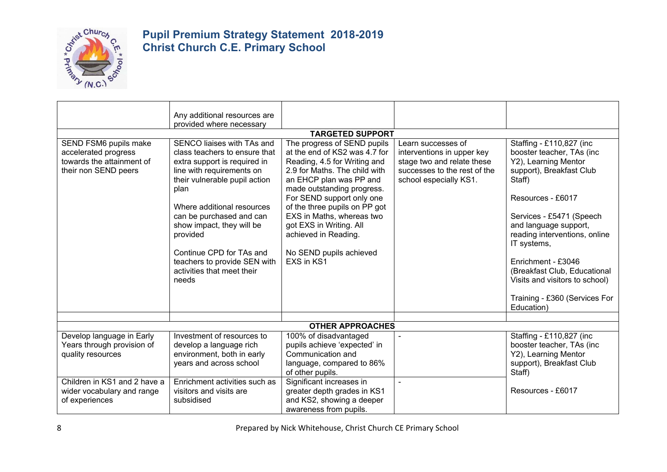

|                                                                                                    | Any additional resources are                                                                                                                                                                                                                                                                                                                                            |                                                                                                                                                                                                                                                                                                                                                                               |                                                                                                                                          |                                                                                                                                                                                                                                                                                                                                                                                      |
|----------------------------------------------------------------------------------------------------|-------------------------------------------------------------------------------------------------------------------------------------------------------------------------------------------------------------------------------------------------------------------------------------------------------------------------------------------------------------------------|-------------------------------------------------------------------------------------------------------------------------------------------------------------------------------------------------------------------------------------------------------------------------------------------------------------------------------------------------------------------------------|------------------------------------------------------------------------------------------------------------------------------------------|--------------------------------------------------------------------------------------------------------------------------------------------------------------------------------------------------------------------------------------------------------------------------------------------------------------------------------------------------------------------------------------|
|                                                                                                    | provided where necessary                                                                                                                                                                                                                                                                                                                                                |                                                                                                                                                                                                                                                                                                                                                                               |                                                                                                                                          |                                                                                                                                                                                                                                                                                                                                                                                      |
|                                                                                                    |                                                                                                                                                                                                                                                                                                                                                                         | <b>TARGETED SUPPORT</b>                                                                                                                                                                                                                                                                                                                                                       |                                                                                                                                          |                                                                                                                                                                                                                                                                                                                                                                                      |
| SEND FSM6 pupils make<br>accelerated progress<br>towards the attainment of<br>their non SEND peers | SENCO liaises with TAs and<br>class teachers to ensure that<br>extra support is required in<br>line with requirements on<br>their vulnerable pupil action<br>plan<br>Where additional resources<br>can be purchased and can<br>show impact, they will be<br>provided<br>Continue CPD for TAs and<br>teachers to provide SEN with<br>activities that meet their<br>needs | The progress of SEND pupils<br>at the end of KS2 was 4.7 for<br>Reading, 4.5 for Writing and<br>2.9 for Maths. The child with<br>an EHCP plan was PP and<br>made outstanding progress.<br>For SEND support only one<br>of the three pupils on PP got<br>EXS in Maths, whereas two<br>got EXS in Writing. All<br>achieved in Reading.<br>No SEND pupils achieved<br>EXS in KS1 | Learn successes of<br>interventions in upper key<br>stage two and relate these<br>successes to the rest of the<br>school especially KS1. | Staffing - £110,827 (inc<br>booster teacher, TAs (inc<br>Y2), Learning Mentor<br>support), Breakfast Club<br>Staff)<br>Resources - £6017<br>Services - £5471 (Speech<br>and language support,<br>reading interventions, online<br>IT systems,<br>Enrichment - £3046<br>(Breakfast Club, Educational<br>Visits and visitors to school)<br>Training - £360 (Services For<br>Education) |
|                                                                                                    |                                                                                                                                                                                                                                                                                                                                                                         |                                                                                                                                                                                                                                                                                                                                                                               |                                                                                                                                          |                                                                                                                                                                                                                                                                                                                                                                                      |
|                                                                                                    |                                                                                                                                                                                                                                                                                                                                                                         | <b>OTHER APPROACHES</b>                                                                                                                                                                                                                                                                                                                                                       |                                                                                                                                          |                                                                                                                                                                                                                                                                                                                                                                                      |
| Develop language in Early<br>Years through provision of<br>quality resources                       | Investment of resources to<br>develop a language rich<br>environment, both in early<br>years and across school                                                                                                                                                                                                                                                          | 100% of disadvantaged<br>pupils achieve 'expected' in<br>Communication and<br>language, compared to 86%<br>of other pupils.                                                                                                                                                                                                                                                   |                                                                                                                                          | Staffing - £110,827 (inc<br>booster teacher, TAs (inc<br>Y2), Learning Mentor<br>support), Breakfast Club<br>Staff)                                                                                                                                                                                                                                                                  |
| Children in KS1 and 2 have a<br>wider vocabulary and range<br>of experiences                       | Enrichment activities such as<br>visitors and visits are<br>subsidised                                                                                                                                                                                                                                                                                                  | Significant increases in<br>greater depth grades in KS1<br>and KS2, showing a deeper<br>awareness from pupils.                                                                                                                                                                                                                                                                | $\blacksquare$                                                                                                                           | Resources - £6017                                                                                                                                                                                                                                                                                                                                                                    |